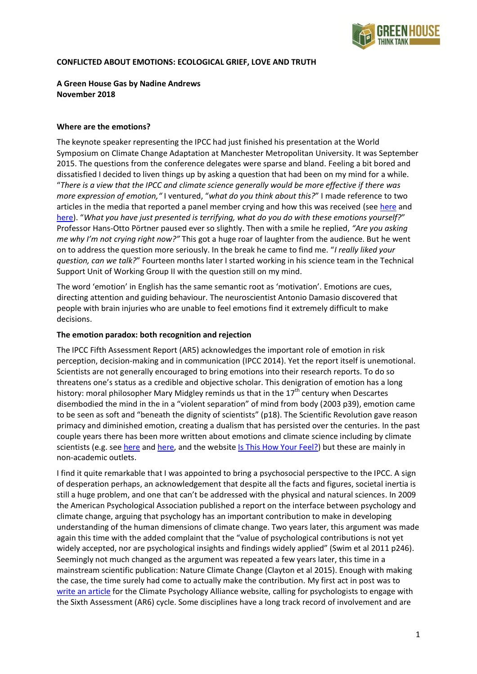

### **CONFLICTED ABOUT EMOTIONS: ECOLOGICAL GRIEF, LOVE AND TRUTH**

# **A Green House Gas by Nadine Andrews November 2018**

#### **Where are the emotions?**

The keynote speaker representing the IPCC had just finished his presentation at the World Symposium on Climate Change Adaptation at Manchester Metropolitan University. It was September 2015. The questions from the conference delegates were sparse and bland. Feeling a bit bored and dissatisfied I decided to liven things up by asking a question that had been on my mind for a while. "*There is a view that the IPCC and climate science generally would be more effective if there was more expression of emotion,"* I ventured, "*what do you think about this?*" I made reference to two articles in the media that reported a panel member crying and how this was received (see [here](https://www.theguardian.com/environment/2015/jul/09/is-it-ok-scientists-weep-over-climate-change) and [here\)](https://www.independent.co.uk/environment/climate-change/scientists-must-be-emotionally-charged-about-climate-change-to-highlight-its-dangers-claims-expert-9950692.html). "*What you have just presented is terrifying, what do you do with these emotions yourself?*" Professor Hans-Otto Pörtner paused ever so slightly. Then with a smile he replied, *"Are you asking me why I'm not crying right now?"* This got a huge roar of laughter from the audience. But he went on to address the question more seriously. In the break he came to find me. "*I really liked your question, can we talk?*" Fourteen months later I started working in his science team in the Technical Support Unit of Working Group II with the question still on my mind.

The word 'emotion' in English has the same semantic root as 'motivation'. Emotions are cues, directing attention and guiding behaviour. The neuroscientist Antonio Damasio discovered that people with brain injuries who are unable to feel emotions find it extremely difficult to make decisions.

#### **The emotion paradox: both recognition and rejection**

The IPCC Fifth Assessment Report (AR5) acknowledges the important role of emotion in risk perception, decision-making and in communication (IPCC 2014). Yet the report itself is unemotional. Scientists are not generally encouraged to bring emotions into their research reports. To do so threatens one's status as a credible and objective scholar. This denigration of emotion has a long history: moral philosopher Mary Midgley reminds us that in the 17<sup>th</sup> century when Descartes disembodied the mind in the in a "violent separation" of mind from body (2003 p39), emotion came to be seen as soft and "beneath the dignity of scientists" (p18). The Scientific Revolution gave reason primacy and diminished emotion, creating a dualism that has persisted over the centuries. In the past couple years there has been more written about emotions and climate science including by climate scientists (e.g. see [here](https://www.theguardian.com/environment/commentisfree/2017/jan/20/writing-about-climate-change-my-professional-detachment-has-finally-turned-to-panic) an[d here,](https://www.theguardian.com/commentisfree/2017/jun/07/caring-about-climate-change-its-time-to-build-a-bridge-between-data-and-emotion) and the website [Is This How Your Feel?\)](https://www.isthishowyoufeel.com/) but these are mainly in non-academic outlets.

I find it quite remarkable that I was appointed to bring a psychosocial perspective to the IPCC. A sign of desperation perhaps, an acknowledgement that despite all the facts and figures, societal inertia is still a huge problem, and one that can't be addressed with the physical and natural sciences. In 2009 the American Psychological Association published a report on the interface between psychology and climate change, arguing that psychology has an important contribution to make in developing understanding of the human dimensions of climate change. Two years later, this argument was made again this time with the added complaint that the "value of psychological contributions is not yet widely accepted, nor are psychological insights and findings widely applied" (Swim et al 2011 p246). Seemingly not much changed as the argument was repeated a few years later, this time in a mainstream scientific publication: Nature Climate Change (Clayton et al 2015). Enough with making the case, the time surely had come to actually make the contribution. My first act in post was to [write an article](https://cultureprobe.wordpress.com/2016/10/06/psychosocial-climate-psychology-research-in-ipcc-reports/) for the Climate Psychology Alliance website, calling for psychologists to engage with the Sixth Assessment (AR6) cycle. Some disciplines have a long track record of involvement and are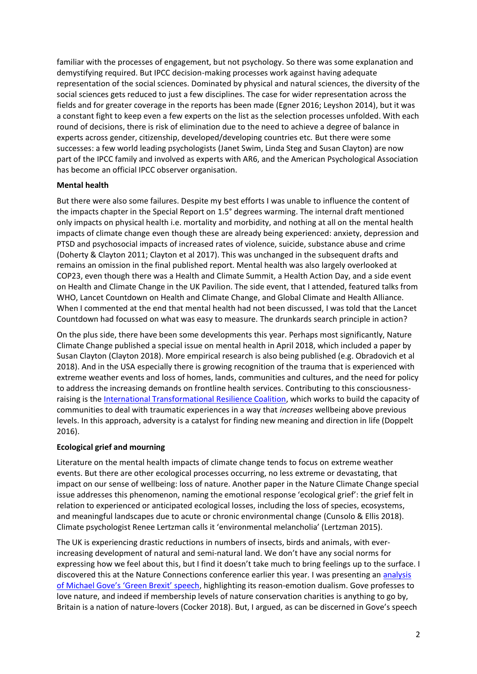familiar with the processes of engagement, but not psychology. So there was some explanation and demystifying required. But IPCC decision-making processes work against having adequate representation of the social sciences. Dominated by physical and natural sciences, the diversity of the social sciences gets reduced to just a few disciplines. The case for wider representation across the fields and for greater coverage in the reports has been made (Egner 2016; Leyshon 2014), but it was a constant fight to keep even a few experts on the list as the selection processes unfolded. With each round of decisions, there is risk of elimination due to the need to achieve a degree of balance in experts across gender, citizenship, developed/developing countries etc. But there were some successes: a few world leading psychologists (Janet Swim, Linda Steg and Susan Clayton) are now part of the IPCC family and involved as experts with AR6, and the American Psychological Association has become an official IPCC observer organisation.

### **Mental health**

But there were also some failures. Despite my best efforts I was unable to influence the content of the impacts chapter in the Special Report on 1.5° degrees warming. The internal draft mentioned only impacts on physical health i.e. mortality and morbidity, and nothing at all on the mental health impacts of climate change even though these are already being experienced: anxiety, depression and PTSD and psychosocial impacts of increased rates of violence, suicide, substance abuse and crime (Doherty & Clayton 2011; Clayton et al 2017). This was unchanged in the subsequent drafts and remains an omission in the final published report. Mental health was also largely overlooked at COP23, even though there was a Health and Climate Summit, a Health Action Day, and a side event on Health and Climate Change in the UK Pavilion. The side event, that I attended, featured talks from WHO, Lancet Countdown on Health and Climate Change, and Global Climate and Health Alliance. When I commented at the end that mental health had not been discussed, I was told that the Lancet Countdown had focussed on what was easy to measure. The drunkards search principle in action?

On the plus side, there have been some developments this year. Perhaps most significantly, Nature Climate Change published a special issue on mental health in April 2018, which included a paper by Susan Clayton (Clayton 2018). More empirical research is also being published (e.g. Obradovich et al 2018). And in the USA especially there is growing recognition of the trauma that is experienced with extreme weather events and loss of homes, lands, communities and cultures, and the need for policy to address the increasing demands on frontline health services. Contributing to this consciousnessraising is the [International Transformational Resilience Coalition,](https://www.acesconnection.com/g/international-transformational-resilience-coalition-itrc) which works to build the capacity of communities to deal with traumatic experiences in a way that *increases* wellbeing above previous levels. In this approach, adversity is a catalyst for finding new meaning and direction in life (Doppelt 2016).

# **Ecological grief and mourning**

Literature on the mental health impacts of climate change tends to focus on extreme weather events. But there are other ecological processes occurring, no less extreme or devastating, that impact on our sense of wellbeing: loss of nature. Another paper in the Nature Climate Change special issue addresses this phenomenon, naming the emotional response 'ecological grief': the grief felt in relation to experienced or anticipated ecological losses, including the loss of species, ecosystems, and meaningful landscapes due to acute or chronic environmental change (Cunsolo & Ellis 2018). Climate psychologist Renee Lertzman calls it 'environmental melancholia' (Lertzman 2015).

The UK is experiencing drastic reductions in numbers of insects, birds and animals, with everincreasing development of natural and semi-natural land. We don't have any social norms for expressing how we feel about this, but I find it doesn't take much to bring feelings up to the surface. I discovered this at the Nature Connections conference earlier this year. I was presenting an [analysis](https://cultureprobe.wordpress.com/2018/06/29/embarrassed-about-love-a-short-analysis-of-michael-goves-green-brexit-speech/)  [of Michael Gove's 'Green Brexit' speech](https://cultureprobe.wordpress.com/2018/06/29/embarrassed-about-love-a-short-analysis-of-michael-goves-green-brexit-speech/), highlighting its reason-emotion dualism. Gove professes to love nature, and indeed if membership levels of nature conservation charities is anything to go by, Britain is a nation of nature-lovers (Cocker 2018). But, I argued, as can be discerned in Gove's speech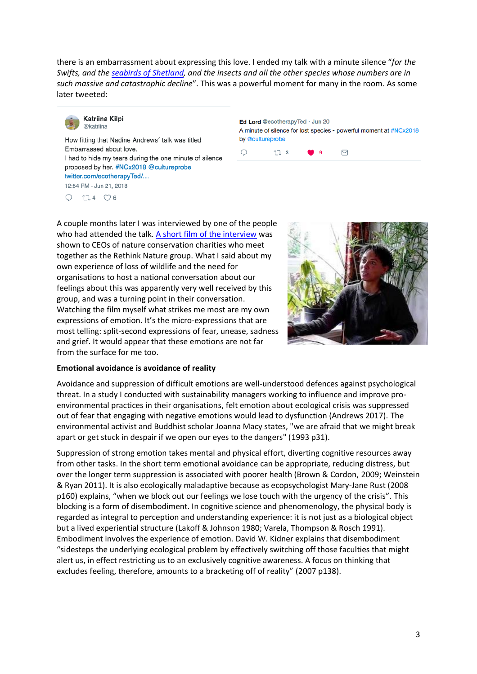there is an embarrassment about expressing this love. I ended my talk with a minute silence "*for the Swifts, and the [seabirds of Shetland,](https://www.scotsman.com/news/environment/rspb-warns-of-apocalyptic-seabird-decline-in-shetland-1-4749035) and the insects and all the other species whose numbers are in such massive and catastrophic decline*". This was a powerful moment for many in the room. As some later tweeted:



Katriina Kilpi @katriina

How fitting that Nadine Andrews' talk was titled Embarrassed about love. I had to hide my tears during the one minute of silence proposed by her. #NCx2018 @cultureprobe twitter.com/ecotherapyTed/... 12:54 PM - Jun 21, 2018

 $\bigcirc$  $174$   $\circledcirc$  6 Ed Lord @ecotherapyTed · Jun 20 A minute of silence for lost species - powerful moment at #NCx2018 by @cultureprobe



A couple months later I was interviewed by one of the people who had attended the talk. A short film [of the interview](https://www.dropbox.com/s/1p6kcij9xvtpsob/Nadine%20Andrews%20Rethink%20Nature%20contribution.mp4?dl=0) was shown to CEOs of nature conservation charities who meet together as the Rethink Nature group. What I said about my own experience of loss of wildlife and the need for organisations to host a national conversation about our feelings about this was apparently very well received by this group, and was a turning point in their conversation. Watching the film myself what strikes me most are my own expressions of emotion. It's the micro-expressions that are most telling: split-second expressions of fear, unease, sadness and grief. It would appear that these emotions are not far from the surface for me too.



# **Emotional avoidance is avoidance of reality**

Avoidance and suppression of difficult emotions are well-understood defences against psychological threat. In a study I conducted with sustainability managers working to influence and improve proenvironmental practices in their organisations, felt emotion about ecological crisis was suppressed out of fear that engaging with negative emotions would lead to dysfunction (Andrews 2017). The environmental activist and Buddhist scholar Joanna Macy states, "we are afraid that we might break apart or get stuck in despair if we open our eyes to the dangers" (1993 p31).

Suppression of strong emotion takes mental and physical effort, diverting cognitive resources away from other tasks. In the short term emotional avoidance can be appropriate, reducing distress, but over the longer term suppression is associated with poorer health (Brown & Cordon, 2009; Weinstein & Ryan 2011). It is also ecologically maladaptive because as ecopsychologist Mary-Jane Rust (2008 p160) explains, "when we block out our feelings we lose touch with the urgency of the crisis". This blocking is a form of disembodiment. In cognitive science and phenomenology, the physical body is regarded as integral to perception and understanding experience: it is not just as a biological object but a lived experiential structure (Lakoff & Johnson 1980; Varela, Thompson & Rosch 1991). Embodiment involves the experience of emotion. David W. Kidner explains that disembodiment "sidesteps the underlying ecological problem by effectively switching off those faculties that might alert us, in effect restricting us to an exclusively cognitive awareness. A focus on thinking that excludes feeling, therefore, amounts to a bracketing off of reality" (2007 p138).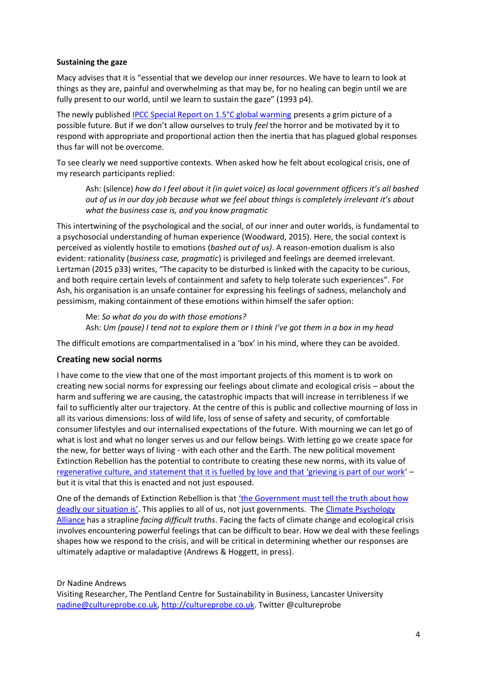### **Sustaining the gaze**

Macy advises that it is "essential that we develop our inner resources. We have to learn to look at things as they are, painful and overwhelming as that may be, for no healing can begin until we are fully present to our world, until we learn to sustain the gaze" (1993 p4).

The newly published [IPCC Special Report on 1.5°C global warming](http://ipcc.ch/report/sr15/) presents a grim picture of a possible future. But if we don't allow ourselves to truly *feel* the horror and be motivated by it to respond with appropriate and proportional action then the inertia that has plagued global responses thus far will not be overcome.

To see clearly we need supportive contexts. When asked how he felt about ecological crisis, one of my research participants replied:

Ash: (silence) *how do I feel about it (in quiet voice) as local government officers it's all bashed out of us in our day job because what we feel about things is completely irrelevant it's about what the business case is, and you know pragmatic* 

This intertwining of the psychological and the social, of our inner and outer worlds, is fundamental to a psychosocial understanding of human experience (Woodward, 2015). Here, the social context is perceived as violently hostile to emotions (*bashed out of us)*. A reason-emotion dualism is also evident: rationality (*business case, pragmatic*) is privileged and feelings are deemed irrelevant. Lertzman (2015 p33) writes, "The capacity to be disturbed is linked with the capacity to be curious, and both require certain levels of containment and safety to help tolerate such experiences". For Ash, his organisation is an unsafe container for expressing his feelings of sadness, melancholy and pessimism, making containment of these emotions within himself the safer option:

Me: *So what do you do with those emotions?* Ash: *Um (pause) I tend not to explore them or I think I've got them in a box in my head*

The difficult emotions are compartmentalised in a 'box' in his mind, where they can be avoided.

# **Creating new social norms**

I have come to the view that one of the most important projects of this moment is to work on creating new social norms for expressing our feelings about climate and ecological crisis – about the harm and suffering we are causing, the catastrophic impacts that will increase in terribleness if we fail to sufficiently alter our trajectory. At the centre of this is public and collective mourning of loss in all its various dimensions: loss of wild life, loss of sense of safety and security, of comfortable consumer lifestyles and our internalised expectations of the future. With mourning we can let go of what is lost and what no longer serves us and our fellow beings. With letting go we create space for the new, for better ways of living - with each other and the Earth. The new political movement Extinction Rebellion has the potential to contribute to creating these new norms, with its value of [regenerative culture, and statement that it is fuelled](https://rebellion.earth/who-we-are/) by love and that 'grieving is part of our work' – but it is vital that this is enacted and not just espoused.

One of the demands of Extinction Rebellion is that ['the Government must tell the tru](https://rebellion.earth/demands/)th about how [deadly our situation is'](https://rebellion.earth/demands/). This applies to all of us, not just governments. The Climate Psychology [Alliance](http://www.climatepsychologyalliance.org/) has a strapline *facing difficult truths*. Facing the facts of climate change and ecological crisis involves encountering powerful feelings that can be difficult to bear. How we deal with these feelings shapes how we respond to the crisis, and will be critical in determining whether our responses are ultimately adaptive or maladaptive (Andrews & Hoggett, in press).

#### Dr Nadine Andrews

Visiting Researcher, The Pentland Centre for Sustainability in Business, Lancaster University [nadine@cultureprobe.co.uk,](mailto:nadine@cultureprobe.co.uk) [http://cultureprobe.co.uk.](http://cultureprobe.co.uk/) Twitter @cultureprobe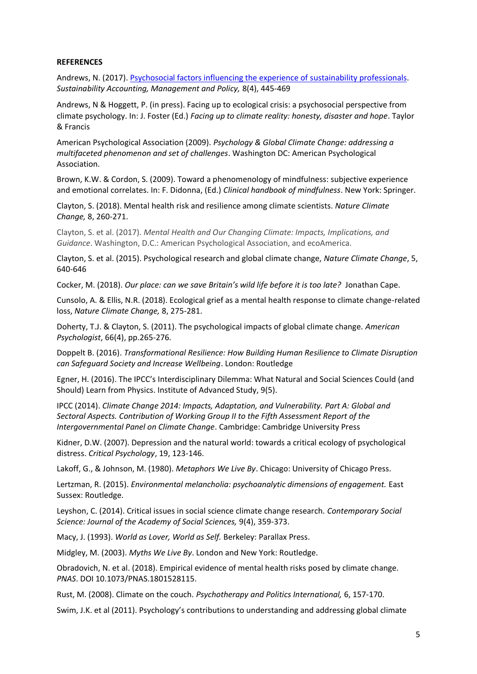#### **REFERENCES**

Andrews, N. (2017). [Psychosocial factors influencing the experience of sustainability professionals.](http://www.emeraldinsight.com/doi/full/10.1108/SAMPJ-09-2015-0080) *Sustainability Accounting, Management and Policy,* 8(4), 445-469

Andrews, N & Hoggett, P. (in press). Facing up to ecological crisis: a psychosocial perspective from climate psychology. In: J. Foster (Ed.) *Facing up to climate reality: honesty, disaster and hope*. Taylor & Francis

American Psychological Association (2009). *Psychology & Global Climate Change: addressing a multifaceted phenomenon and set of challenges*. Washington DC: American Psychological Association.

Brown, K.W. & Cordon, S. (2009). Toward a phenomenology of mindfulness: subjective experience and emotional correlates. In: F. Didonna, (Ed.) *Clinical handbook of mindfulness*. New York: Springer.

Clayton, S. (2018). Mental health risk and resilience among climate scientists. *Nature Climate Change,* 8, 260-271.

Clayton, S. et al. (2017). *Mental Health and Our Changing Climate: Impacts, Implications, and Guidance*. Washington, D.C.: American Psychological Association, and ecoAmerica.

Clayton, S. et al. (2015). Psychological research and global climate change, *Nature Climate Change*, 5, 640-646

Cocker, M. (2018). *Our place: can we save Britain's wild life before it is too late?* Jonathan Cape.

Cunsolo, A. & Ellis, N.R. (2018). Ecological grief as a mental health response to climate change-related loss, *Nature Climate Change,* 8, 275-281.

Doherty, T.J. & Clayton, S. (2011). The psychological impacts of global climate change. *American Psychologist*, 66(4), pp.265-276.

Doppelt B. (2016). *Transformational Resilience: How Building Human Resilience to Climate Disruption can Safeguard Society and Increase Wellbeing*. London: Routledge

Egner, H. (2016). The IPCC's Interdisciplinary Dilemma: What Natural and Social Sciences Could (and Should) Learn from Physics. Institute of Advanced Study, 9(5).

IPCC (2014). *Climate Change 2014: Impacts, Adaptation, and Vulnerability. Part A: Global and Sectoral Aspects. Contribution of Working Group II to the Fifth Assessment Report of the Intergovernmental Panel on Climate Change*. Cambridge: Cambridge University Press

Kidner, D.W. (2007). Depression and the natural world: towards a critical ecology of psychological distress. *Critical Psychology*, 19, 123-146.

Lakoff, G., & Johnson, M. (1980). *Metaphors We Live By*. Chicago: University of Chicago Press.

Lertzman, R. (2015). *Environmental melancholia: psychoanalytic dimensions of engagement.* East Sussex: Routledge.

Leyshon, C. (2014). Critical issues in social science climate change research. *Contemporary Social Science: Journal of the Academy of Social Sciences,* 9(4), 359-373.

Macy, J. (1993). *World as Lover, World as Self.* Berkeley: Parallax Press.

Midgley, M. (2003). *Myths We Live By*. London and New York: Routledge.

Obradovich, N. et al. (2018). Empirical evidence of mental health risks posed by climate change. *PNAS*. DOI 10.1073/PNAS.1801528115.

Rust, M. (2008). Climate on the couch. *Psychotherapy and Politics International,* 6, 157-170.

Swim, J.K. et al (2011). Psychology's contributions to understanding and addressing global climate